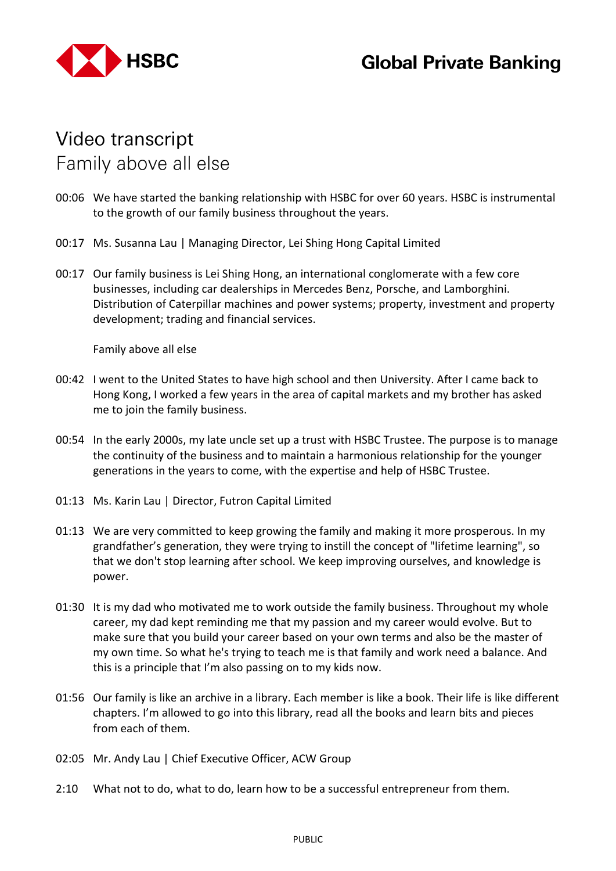

## **Video transcript** Family above all else

- 00:06 We have started the banking relationship with HSBC for over 60 years. HSBC is instrumental to the growth of our family business throughout the years.
- 00:17 Ms. Susanna Lau | Managing Director, Lei Shing Hong Capital Limited
- 00:17 Our family business is Lei Shing Hong, an international conglomerate with a few core businesses, including car dealerships in Mercedes Benz, Porsche, and Lamborghini. Distribution of Caterpillar machines and power systems; property, investment and property development; trading and financial services.

Family above all else

- 00:42 I went to the United States to have high school and then University. After I came back to Hong Kong, I worked a few years in the area of capital markets and my brother has asked me to join the family business.
- 00:54 In the early 2000s, my late uncle set up a trust with HSBC Trustee. The purpose is to manage the continuity of the business and to maintain a harmonious relationship for the younger generations in the years to come, with the expertise and help of HSBC Trustee.
- 01:13 Ms. Karin Lau | Director, Futron Capital Limited
- 01:13 We are very committed to keep growing the family and making it more prosperous. In my grandfather's generation, they were trying to instill the concept of "lifetime learning", so that we don't stop learning after school. We keep improving ourselves, and knowledge is power.
- 01:30 It is my dad who motivated me to work outside the family business. Throughout my whole career, my dad kept reminding me that my passion and my career would evolve. But to make sure that you build your career based on your own terms and also be the master of my own time. So what he's trying to teach me is that family and work need a balance. And this is a principle that I'm also passing on to my kids now.
- 01:56 Our family is like an archive in a library. Each member is like a book. Their life is like different chapters. I'm allowed to go into this library, read all the books and learn bits and pieces from each of them.
- 02:05 Mr. Andy Lau | Chief Executive Officer, ACW Group
- 2:10 What not to do, what to do, learn how to be a successful entrepreneur from them.